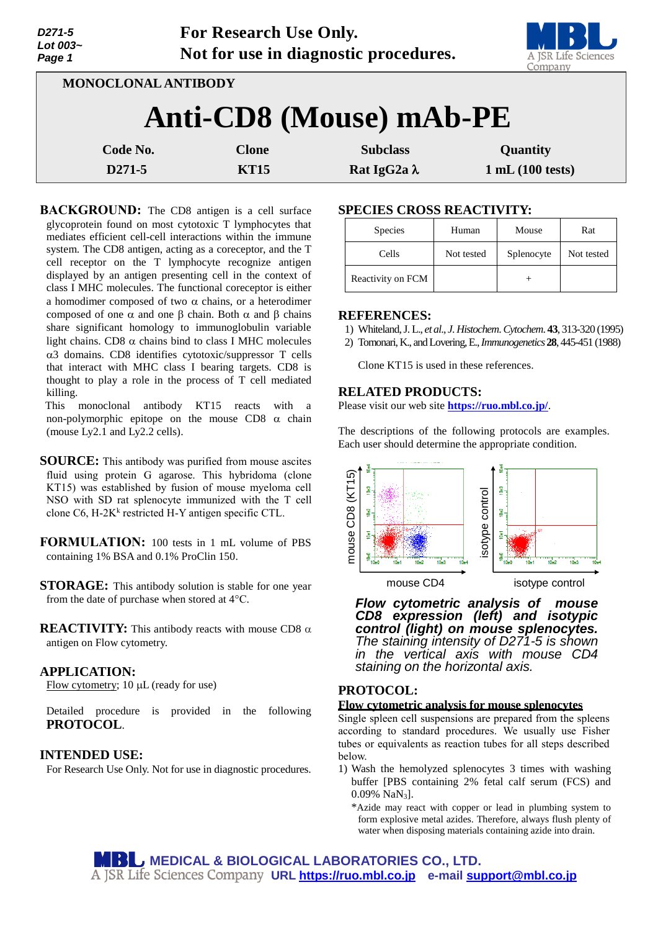| 321 I-3<br>Lot 003~<br>Page 1 |                     | FUE RESEATCH USE UHIY. | Not for use in diagnostic procedures. | A JSR Life Sciences<br>Company |
|-------------------------------|---------------------|------------------------|---------------------------------------|--------------------------------|
|                               | MONOCLONAL ANTIBODY |                        |                                       |                                |
|                               |                     |                        | Anti-CD8 (Mouse) mAb-PE               |                                |
|                               | Code No.            | <b>Clone</b>           | <b>Subclass</b>                       | Quantity                       |
|                               | D271-5              | <b>KT15</b>            | Rat IgG2a $\lambda$                   | 1 mL(100 tests)                |

**For Research Use Only.**

**BACKGROUND:** The CD8 antigen is a cell surface glycoprotein found on most cytotoxic T lymphocytes that mediates efficient cell-cell interactions within the immune system. The CD8 antigen, acting as a coreceptor, and the T cell receptor on the T lymphocyte recognize antigen displayed by an antigen presenting cell in the context of class I MHC molecules. The functional coreceptor is either a homodimer composed of two  $\alpha$  chains, or a heterodimer composed of one  $\alpha$  and one  $\beta$  chain. Both  $\alpha$  and  $\beta$  chains share significant homology to immunoglobulin variable light chains. CD8  $\alpha$  chains bind to class I MHC molecules 3 domains. CD8 identifies cytotoxic/suppressor T cells that interact with MHC class I bearing targets. CD8 is thought to play a role in the process of T cell mediated killing.

This monoclonal antibody KT15 reacts with a non-polymorphic epitope on the mouse CD8  $\alpha$  chain (mouse Ly2.1 and Ly2.2 cells).

**SOURCE:** This antibody was purified from mouse ascites fluid using protein G agarose. This hybridoma (clone KT15) was established by fusion of mouse myeloma cell NSO with SD rat splenocyte immunized with the T cell clone C6, H-2K<sup>k</sup> restricted H-Y antigen specific CTL.

**FORMULATION:** 100 tests in 1 mL volume of PBS containing 1% BSA and 0.1% ProClin 150.

**STORAGE:** This antibody solution is stable for one year from the date of purchase when stored at 4°C.

**REACTIVITY:** This antibody reacts with mouse CD8  $\alpha$ antigen on Flow cytometry.

#### **APPLICATION:**

*D271-5*

Flow cytometry;  $10 \mu L$  (ready for use)

Detailed procedure is provided in the following **PROTOCOL**.

#### **INTENDED USE:**

For Research Use Only. Not for use in diagnostic procedures.

# **SPECIES CROSS REACTIVITY:**

| <b>Species</b>    | Human      | Mouse      | Rat        |
|-------------------|------------|------------|------------|
| Cells             | Not tested | Splenocyte | Not tested |
| Reactivity on FCM |            |            |            |

#### **REFERENCES:**

- 1) Whiteland, J. L., *et al*., *J*. *Histochem*. *Cytochem*. **43**, 313-320 (1995)
- 2) Tomonari, K., and Lovering, E., *Immunogenetics* **28**, 445-451 (1988)

Clone KT15 is used in these references.

### **RELATED PRODUCTS:**

Please visit our web site **<https://ruo.mbl.co.jp/>**.

The descriptions of the following protocols are examples. Each user should determine the appropriate condition.



*Flow cytometric analysis of mouse CD8 expression (left) and isotypic control (light) on mouse splenocytes. The staining intensity of D271-5 is shown in the vertical axis with mouse CD4 staining on the horizontal axis.*

## **PROTOCOL:**

#### **Flow cytometric analysis for mouse splenocytes**

Single spleen cell suspensions are prepared from the spleens according to standard procedures. We usually use Fisher tubes or equivalents as reaction tubes for all steps described below.

1) Wash the hemolyzed splenocytes 3 times with washing buffer [PBS containing 2% fetal calf serum (FCS) and 0.09% NaN3].

\*Azide may react with copper or lead in plumbing system to form explosive metal azides. Therefore, always flush plenty of water when disposing materials containing azide into drain.